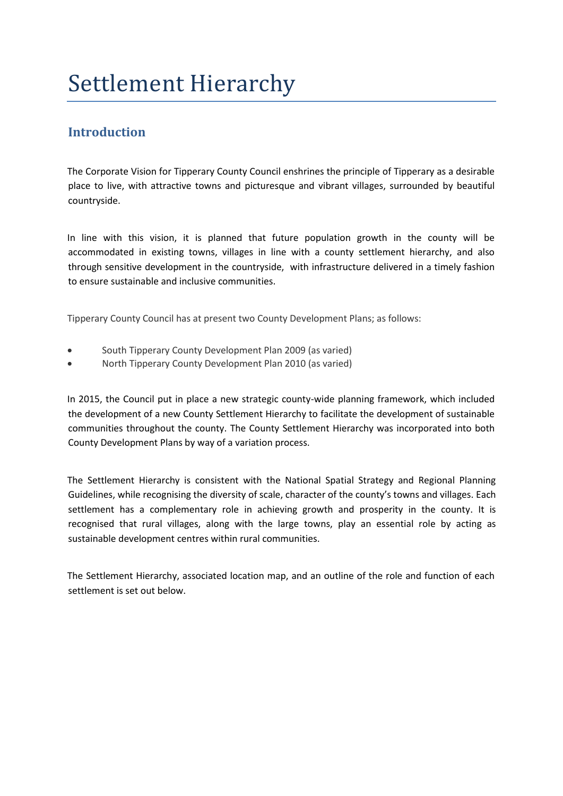# Settlement Hierarchy

## **Introduction**

The Corporate Vision for Tipperary County Council enshrines the principle of Tipperary as a desirable place to live, with attractive towns and picturesque and vibrant villages, surrounded by beautiful countryside.

In line with this vision, it is planned that future population growth in the county will be accommodated in existing towns, villages in line with a county settlement hierarchy, and also through sensitive development in the countryside, with infrastructure delivered in a timely fashion to ensure sustainable and inclusive communities.

Tipperary County Council has at present two County Development Plans; as follows:

- South Tipperary County Development Plan 2009 (as varied)
- North Tipperary County Development Plan 2010 (as varied)

In 2015, the Council put in place a new strategic county-wide planning framework, which included the development of a new County Settlement Hierarchy to facilitate the development of sustainable communities throughout the county. The County Settlement Hierarchy was incorporated into both County Development Plans by way of a variation process.

The Settlement Hierarchy is consistent with the National Spatial Strategy and Regional Planning Guidelines, while recognising the diversity of scale, character of the county's towns and villages. Each settlement has a complementary role in achieving growth and prosperity in the county. It is recognised that rural villages, along with the large towns, play an essential role by acting as sustainable development centres within rural communities.

The Settlement Hierarchy, associated location map, and an outline of the role and function of each settlement is set out below.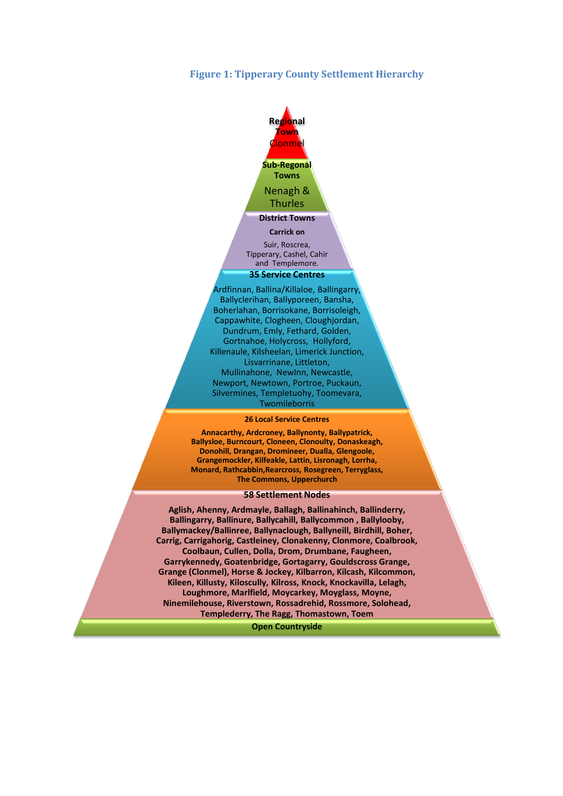#### **Figure 1: Tipperary County Settlement Hierarchy**



Ardfinnan, Ballina/Killaloe, Ballingarry, Ballyclerihan, Ballyporeen, Bansha, Boherlahan, Borrisokane, Borrisoleigh, Cappawhite, Clogheen, Cloughjordan, Dundrum, Emly, Fethard, Golden, Gortnahoe, Holycross, Hollyford, Killenaule, Kilsheelan, Limerick Junction, Lisvarrinane, Littleton, Mullinahone, NewInn, Newcastle, Newport, Newtown, Portroe, Puckaun, Silvermines, Templetuohy, Toomevara, Twomileborris

#### **26 Local Service Centres**

**Annacarthy, Ardcroney, Ballynonty, Ballypatrick, Ballysloe, Burncourt, Cloneen, Clonoulty, Donaskeagh, Donohill, Drangan, Dromineer, Dualla, Glengoole, Grangemockler, Kilfeakle, Lattin, Lisronagh, Lorrha, Monard, Rathcabbin,Rearcross, Rosegreen, Terryglass, The Commons, Upperchurch**

#### **58 Settlement Nodes**

**Aglish, Ahenny, Ardmayle, Ballagh, Ballinahinch, Ballinderry, Ballingarry, Ballinure, Ballycahill, Ballycommon , Ballylooby, Ballymackey/Ballinree, Ballynaclough, Ballyneill, Birdhill, Boher, Carrig, Carrigahorig, Castleiney, Clonakenny, Clonmore, Coalbrook, Coolbaun, Cullen, Dolla, Drom, Drumbane, Faugheen, Garrykennedy, Goatenbridge, Gortagarry, Gouldscross Grange, Grange (Clonmel), Horse & Jockey, Kilbarron, Kilcash, Kilcommon, Kileen, Killusty, Kiloscully, Kilross, Knock, Knockavilla, Lelagh, Loughmore, Marlfield, Moycarkey, Moyglass, Moyne, Ninemilehouse, Riverstown, Rossadrehid, Rossmore, Solohead, Templederry, The Ragg, Thomastown, Toem**

**Open Countryside**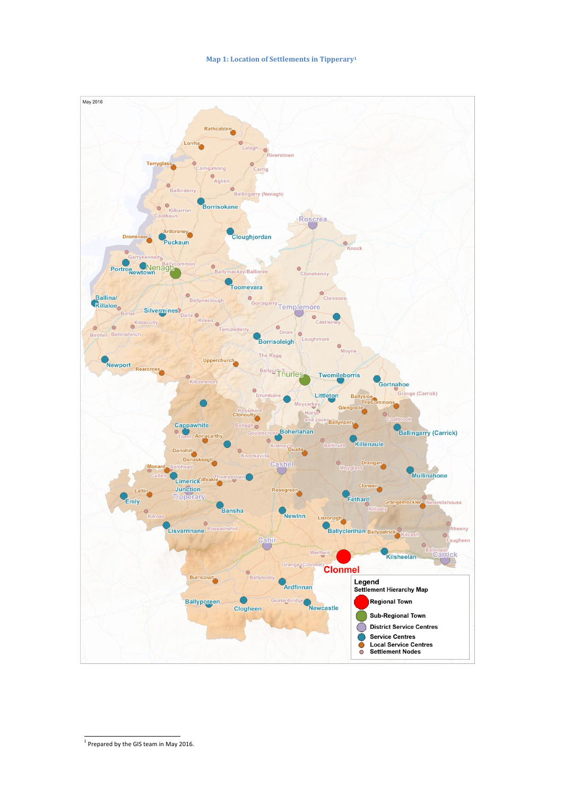#### **Map 1: Location of Settlements in Tipperary<sup>1</sup>**



 $\overline{a}$ 

 $<sup>1</sup>$  Prepared by the GIS team in May 2016.</sup>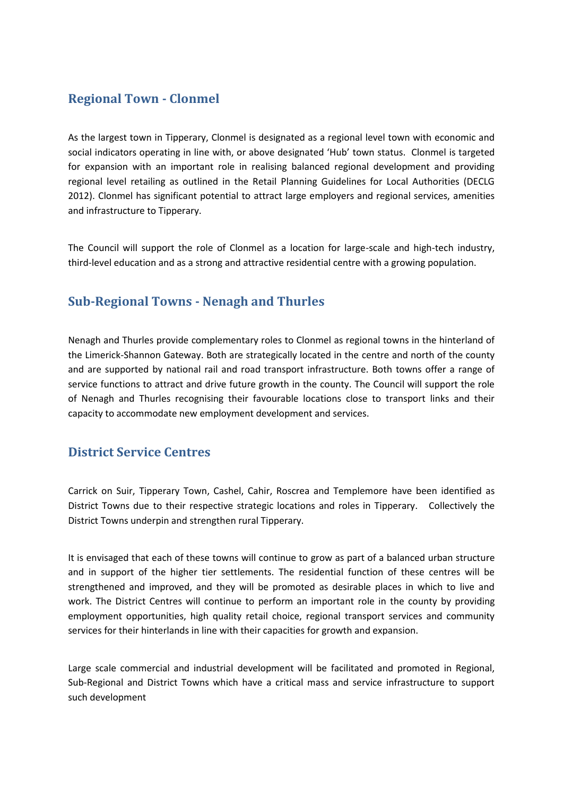## **Regional Town - Clonmel**

As the largest town in Tipperary, Clonmel is designated as a regional level town with economic and social indicators operating in line with, or above designated 'Hub' town status. Clonmel is targeted for expansion with an important role in realising balanced regional development and providing regional level retailing as outlined in the Retail Planning Guidelines for Local Authorities (DECLG 2012). Clonmel has significant potential to attract large employers and regional services, amenities and infrastructure to Tipperary.

The Council will support the role of Clonmel as a location for large-scale and high-tech industry, third-level education and as a strong and attractive residential centre with a growing population.

## **Sub-Regional Towns - Nenagh and Thurles**

Nenagh and Thurles provide complementary roles to Clonmel as regional towns in the hinterland of the Limerick-Shannon Gateway. Both are strategically located in the centre and north of the county and are supported by national rail and road transport infrastructure. Both towns offer a range of service functions to attract and drive future growth in the county. The Council will support the role of Nenagh and Thurles recognising their favourable locations close to transport links and their capacity to accommodate new employment development and services.

### **District Service Centres**

Carrick on Suir, Tipperary Town, Cashel, Cahir, Roscrea and Templemore have been identified as District Towns due to their respective strategic locations and roles in Tipperary. Collectively the District Towns underpin and strengthen rural Tipperary.

It is envisaged that each of these towns will continue to grow as part of a balanced urban structure and in support of the higher tier settlements. The residential function of these centres will be strengthened and improved, and they will be promoted as desirable places in which to live and work. The District Centres will continue to perform an important role in the county by providing employment opportunities, high quality retail choice, regional transport services and community services for their hinterlands in line with their capacities for growth and expansion.

Large scale commercial and industrial development will be facilitated and promoted in Regional, Sub-Regional and District Towns which have a critical mass and service infrastructure to support such development